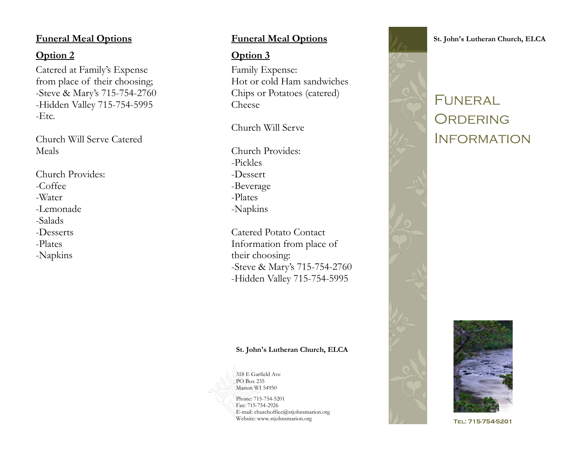### **Funeral Meal Options**

## **Option 2**

Catered at Family's Expense from place of their choosing; -Steve & Mary's 715-754-2760 -Hidden Valley 715-754-5995 -Etc.

Church Will Serve Catered Meals

Church Provides: -Coffee -Water -Lemonade -Salads -Desserts -Plates -Napkins

## **Funeral Meal Options**

## **Option 3**

Family Expense: Hot or cold Ham sandwiches Chips or Potatoes (catered) Cheese

Church Will Serve

Church Provides: -Pickles -Dessert -Beverage -Plates -Napkins

Catered Potato Contact Information from place of their choosing: -Steve & Mary's 715-754-2760 -Hidden Valley 715-754-5995

#### **St. John's Lutheran Church, ELCA**

318 E Garfield Ave PO Box 235 Marion WI 54950

Phone: 715-754-5201 Fax: 715-754-2926 E-mail: churchoffice@stjohnsmarion.org Website: www.stjohnsmarion.org



**St. John's Lutheran Church, ELCA**

# FUNERAL. ORDERING **INFORMATION**



TEL: 715-754-5201